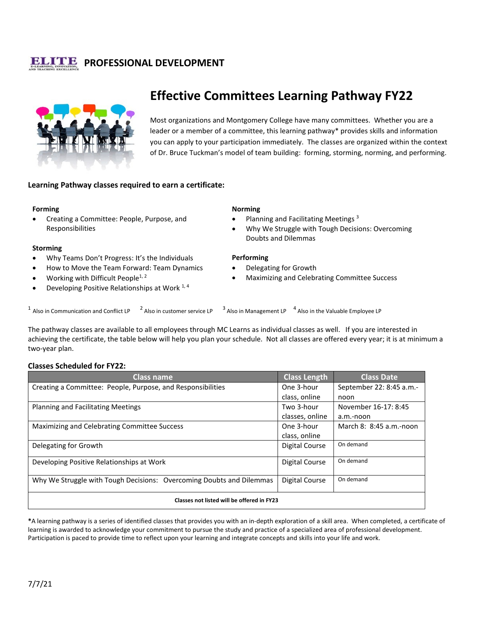## **PROFESSIONAL DEVELOPMENT**



# **Effective Committees Learning Pathway FY22**

Most organizations and Montgomery College have many committees. Whether you are a leader or a member of a committee, this learning pathway\* provides skills and information you can apply to your participation immediately. The classes are organized within the context of Dr. Bruce Tuckman's model of team building: forming, storming, norming, and performing.

## **Learning Pathway classes required to earn a certificate:**

#### **Forming**

• Creating a Committee: People, Purpose, and Responsibilities

#### **Storming**

- Why Teams Don't Progress: It's the Individuals
- How to Move the Team Forward: Team Dynamics
- Working with Difficult People<sup>1, 2</sup>
- Developing Positive Relationships at Work  $^{1,4}$

## **Norming**

- Planning and Facilitating Meetings<sup>3</sup>
- Why We Struggle with Tough Decisions: Overcoming Doubts and Dilemmas

#### **Performing**

- Delegating for Growth
- Maximizing and Celebrating Committee Success

 $1$  Also in Communication and Conflict LP  $2$  Also in customer service LP  $3$  Also in Management LP  $4$  Also in the Valuable Employee LP

The pathway classes are available to all employees through MC Learns as individual classes as well. If you are interested in achieving the certificate, the table below will help you plan your schedule. Not all classes are offered every year; it is at minimum a two-year plan.

#### **Classes Scheduled for FY22:**

| <b>Class name</b>                                                    | <b>Class Length</b> | <b>Class Date</b>        |
|----------------------------------------------------------------------|---------------------|--------------------------|
| Creating a Committee: People, Purpose, and Responsibilities          | One 3-hour          | September 22: 8:45 a.m.- |
|                                                                      | class, online       | noon                     |
| <b>Planning and Facilitating Meetings</b>                            | Two 3-hour          | November 16-17: 8:45     |
|                                                                      | classes, online     | a.m.-noon                |
| Maximizing and Celebrating Committee Success                         | One 3-hour          | March 8: 8:45 a.m.-noon  |
|                                                                      | class, online       |                          |
| Delegating for Growth                                                | Digital Course      | On demand                |
| Developing Positive Relationships at Work                            | Digital Course      | On demand                |
| Why We Struggle with Tough Decisions: Overcoming Doubts and Dilemmas | Digital Course      | On demand                |
| Classes not listed will be offered in FY23                           |                     |                          |

**\***A learning pathway is a series of identified classes that provides you with an in-depth exploration of a skill area. When completed, a certificate of learning is awarded to acknowledge your commitment to pursue the study and practice of a specialized area of professional development. Participation is paced to provide time to reflect upon your learning and integrate concepts and skills into your life and work.